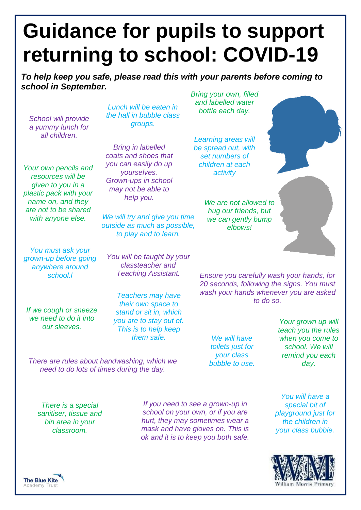## **Guidance for pupils to support returning to school: COVID-19**

*To help keep you safe, please read this with your parents before coming to school in September.*

*School will provide a yummy lunch for all children.*

*Your own pencils and resources will be given to you in a plastic pack with your name on, and they are not to be shared* 

*Lunch will be eaten in the hall in bubble class groups.*

*Bring in labelled coats and shoes that you can easily do up yourselves. Grown-ups in school may not be able to help you.*

*with anyone else. We will try and give you time outside as much as possible, to play and to learn.* 

*You must ask your grown-up before going anywhere around* 

*You will be taught by your classteacher and Teaching Assistant.* 

*If we cough or sneeze we need to do it into our sleeves.*

*Teachers may have their own space to stand or sit in, which you are to stay out of. This is to help keep them safe.*

*There are rules about handwashing, which we need to do lots of times during the day.*

*Bring your own, filled and labelled water bottle each day.*

*Learning areas will be spread out, with set numbers of children at each activity*

> *We are not allowed to hug our friends, but we can gently bump elbows!*

*school.l Ensure you carefully wash your hands, for 20 seconds, following the signs. You must wash your hands whenever you are asked to do so.*

> *We will have toilets just for your class bubble to use.*

*Your grown up will teach you the rules when you come to school. We will remind you each day.* 

*There is a special sanitiser, tissue and bin area in your classroom.* 

*If you need to see a grown-up in school on your own, or if you are hurt, they may sometimes wear a mask and have gloves on. This is ok and it is to keep you both safe.*

*You will have a special bit of playground just for the children in your class bubble.*